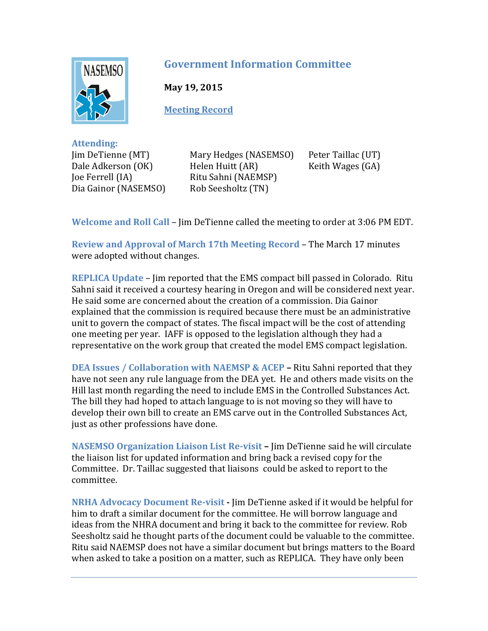

## **Government Information Committee**

**May 19, 2015**

**Meeting Record**

**Attending:** Jim DeTienne (MT) Dale Adkerson (OK) Joe Ferrell (IA) Dia Gainor (NASEMSO)

Mary Hedges (NASEMSO) Helen Huitt (AR) Ritu Sahni (NAEMSP) Rob Seesholtz (TN)

Peter Taillac (UT) Keith Wages (GA)

**Welcome and Roll Call** – Jim DeTienne called the meeting to order at 3:06 PM EDT.

**Review and Approval of March 17th Meeting Record** – The March 17 minutes were adopted without changes.

**REPLICA Update** – Jim reported that the EMS compact bill passed in Colorado. Ritu Sahni said it received a courtesy hearing in Oregon and will be considered next year. He said some are concerned about the creation of a commission. Dia Gainor explained that the commission is required because there must be an administrative unit to govern the compact of states. The fiscal impact will be the cost of attending one meeting per year. IAFF is opposed to the legislation although they had a representative on the work group that created the model EMS compact legislation.

**DEA Issues / Collaboration with NAEMSP & ACEP –** Ritu Sahni reported that they have not seen any rule language from the DEA yet. He and others made visits on the Hill last month regarding the need to include EMS in the Controlled Substances Act. The bill they had hoped to attach language to is not moving so they will have to develop their own bill to create an EMS carve out in the Controlled Substances Act, just as other professions have done.

**NASEMSO Organization Liaison List Re-visit –** Jim DeTienne said he will circulate the liaison list for updated information and bring back a revised copy for the Committee. Dr. Taillac suggested that liaisons could be asked to report to the committee.

**NRHA Advocacy Document Re-visit -** Jim DeTienne asked if it would be helpful for him to draft a similar document for the committee. He will borrow language and ideas from the NHRA document and bring it back to the committee for review. Rob Seesholtz said he thought parts of the document could be valuable to the committee. Ritu said NAEMSP does not have a similar document but brings matters to the Board when asked to take a position on a matter, such as REPLICA. They have only been